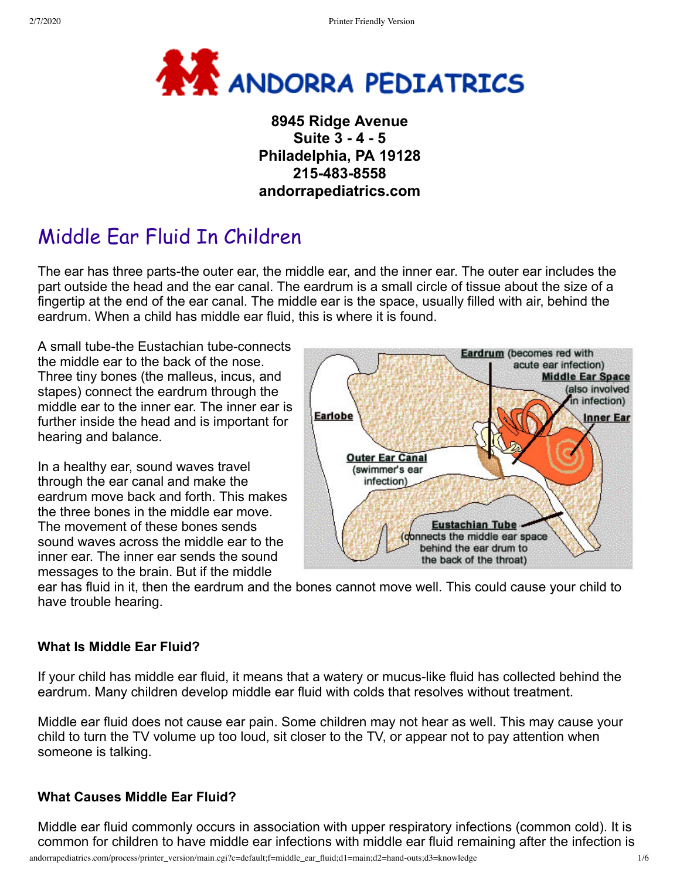

# **8945 Ridge Avenue Suite 3 - 4 - 5 Philadelphia, PA 19128 215-483-8558 andorrapediatrics.com**

# Middle Ear Fluid In Children

The ear has three parts-the outer ear, the middle ear, and the inner ear. The outer ear includes the part outside the head and the ear canal. The eardrum is a small circle of tissue about the size of a fingertip at the end of the ear canal. The middle ear is the space, usually filled with air, behind the eardrum. When a child has middle ear fluid, this is where it is found.

A small tube-the Eustachian tube-connects the middle ear to the back of the nose. Three tiny bones (the malleus, incus, and stapes) connect the eardrum through the middle ear to the inner ear. The inner ear is further inside the head and is important for hearing and balance.

In a healthy ear, sound waves travel through the ear canal and make the eardrum move back and forth. This makes the three bones in the middle ear move. The movement of these bones sends sound waves across the middle ear to the inner ear. The inner ear sends the sound messages to the brain. But if the middle



ear has fluid in it, then the eardrum and the bones cannot move well. This could cause your child to have trouble hearing.

## **What Is Middle Ear Fluid?**

If your child has middle ear fluid, it means that a watery or mucus-like fluid has collected behind the eardrum. Many children develop middle ear fluid with colds that resolves without treatment.

Middle ear fluid does not cause ear pain. Some children may not hear as well. This may cause your child to turn the TV volume up too loud, sit closer to the TV, or appear not to pay attention when someone is talking.

## **What Causes Middle Ear Fluid?**

Middle ear fluid commonly occurs in association with upper respiratory infections (common cold). It is common for children to have middle ear infections with middle ear fluid remaining after the infection is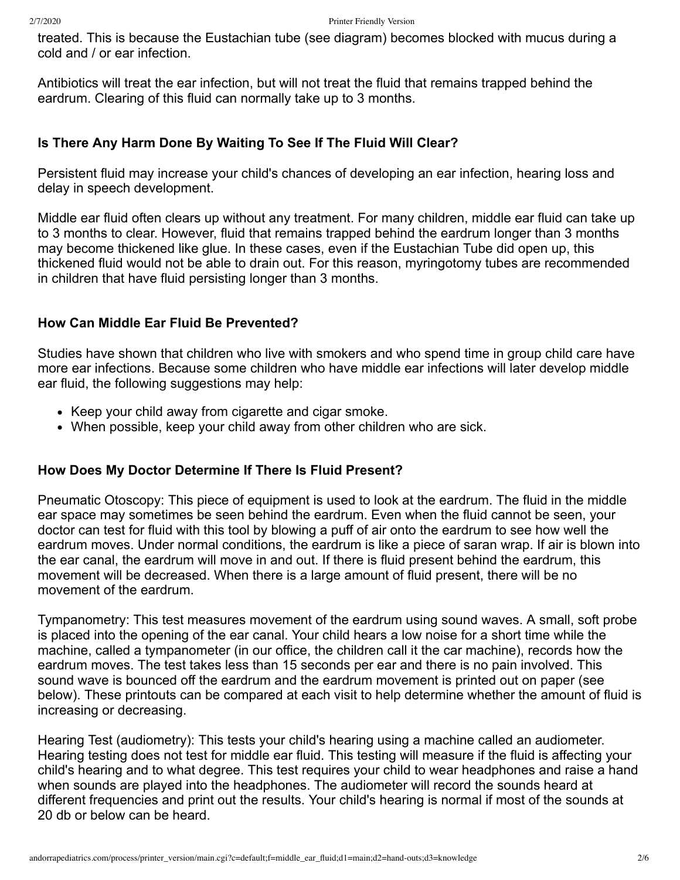treated. This is because the Eustachian tube (see diagram) becomes blocked with mucus during a cold and / or ear infection.

Antibiotics will treat the ear infection, but will not treat the fluid that remains trapped behind the eardrum. Clearing of this fluid can normally take up to 3 months.

# **Is There Any Harm Done By Waiting To See If The Fluid Will Clear?**

Persistent fluid may increase your child's chances of developing an ear infection, hearing loss and delay in speech development.

Middle ear fluid often clears up without any treatment. For many children, middle ear fluid can take up to 3 months to clear. However, fluid that remains trapped behind the eardrum longer than 3 months may become thickened like glue. In these cases, even if the Eustachian Tube did open up, this thickened fluid would not be able to drain out. For this reason, myringotomy tubes are recommended in children that have fluid persisting longer than 3 months.

# **How Can Middle Ear Fluid Be Prevented?**

Studies have shown that children who live with smokers and who spend time in group child care have more ear infections. Because some children who have middle ear infections will later develop middle ear fluid, the following suggestions may help:

- Keep your child away from cigarette and cigar smoke.
- When possible, keep your child away from other children who are sick.

## **How Does My Doctor Determine If There Is Fluid Present?**

Pneumatic Otoscopy: This piece of equipment is used to look at the eardrum. The fluid in the middle ear space may sometimes be seen behind the eardrum. Even when the fluid cannot be seen, your doctor can test for fluid with this tool by blowing a puff of air onto the eardrum to see how well the eardrum moves. Under normal conditions, the eardrum is like a piece of saran wrap. If air is blown into the ear canal, the eardrum will move in and out. If there is fluid present behind the eardrum, this movement will be decreased. When there is a large amount of fluid present, there will be no movement of the eardrum.

Tympanometry: This test measures movement of the eardrum using sound waves. A small, soft probe is placed into the opening of the ear canal. Your child hears a low noise for a short time while the machine, called a tympanometer (in our office, the children call it the car machine), records how the eardrum moves. The test takes less than 15 seconds per ear and there is no pain involved. This sound wave is bounced off the eardrum and the eardrum movement is printed out on paper (see below). These printouts can be compared at each visit to help determine whether the amount of fluid is increasing or decreasing.

Hearing Test (audiometry): This tests your child's hearing using a machine called an audiometer. Hearing testing does not test for middle ear fluid. This testing will measure if the fluid is affecting your child's hearing and to what degree. This test requires your child to wear headphones and raise a hand when sounds are played into the headphones. The audiometer will record the sounds heard at different frequencies and print out the results. Your child's hearing is normal if most of the sounds at 20 db or below can be heard.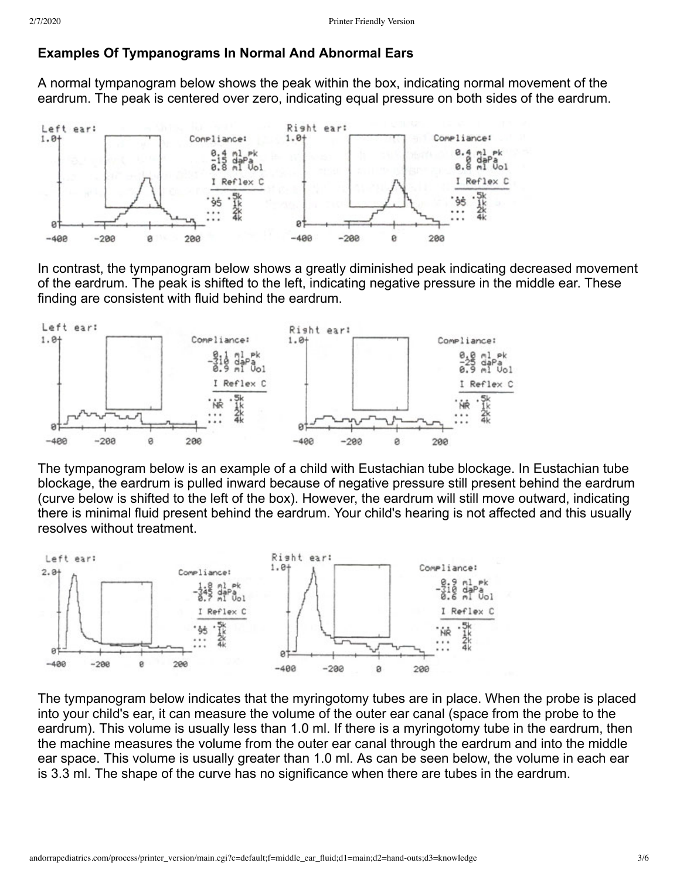# **Examples Of Tympanograms In Normal And Abnormal Ears**

A normal tympanogram below shows the peak within the box, indicating normal movement of the eardrum. The peak is centered over zero, indicating equal pressure on both sides of the eardrum.



In contrast, the tympanogram below shows a greatly diminished peak indicating decreased movement of the eardrum. The peak is shifted to the left, indicating negative pressure in the middle ear. These finding are consistent with fluid behind the eardrum.



The tympanogram below is an example of a child with Eustachian tube blockage. In Eustachian tube blockage, the eardrum is pulled inward because of negative pressure still present behind the eardrum (curve below is shifted to the left of the box). However, the eardrum will still move outward, indicating there is minimal fluid present behind the eardrum. Your child's hearing is not affected and this usually resolves without treatment.



The tympanogram below indicates that the myringotomy tubes are in place. When the probe is placed into your child's ear, it can measure the volume of the outer ear canal (space from the probe to the eardrum). This volume is usually less than 1.0 ml. If there is a myringotomy tube in the eardrum, then the machine measures the volume from the outer ear canal through the eardrum and into the middle ear space. This volume is usually greater than 1.0 ml. As can be seen below, the volume in each ear is 3.3 ml. The shape of the curve has no significance when there are tubes in the eardrum.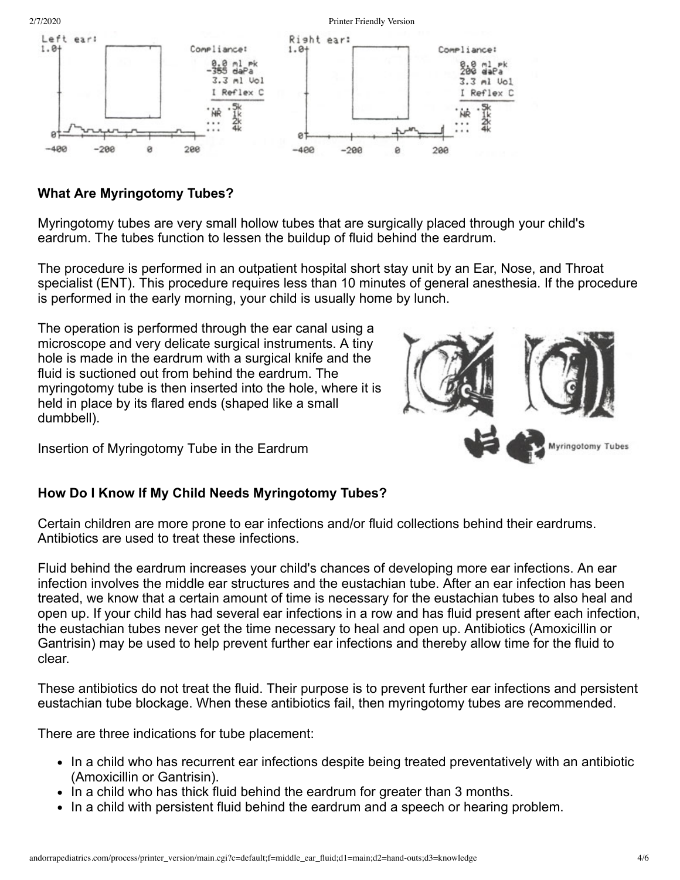

# **What Are Myringotomy Tubes?**

Myringotomy tubes are very small hollow tubes that are surgically placed through your child's eardrum. The tubes function to lessen the buildup of fluid behind the eardrum.

The procedure is performed in an outpatient hospital short stay unit by an Ear, Nose, and Throat specialist (ENT). This procedure requires less than 10 minutes of general anesthesia. If the procedure is performed in the early morning, your child is usually home by lunch.

The operation is performed through the ear canal using a microscope and very delicate surgical instruments. A tiny hole is made in the eardrum with a surgical knife and the fluid is suctioned out from behind the eardrum. The myringotomy tube is then inserted into the hole, where it is held in place by its flared ends (shaped like a small dumbbell).

Insertion of Myringotomy Tube in the Eardrum



#### **How Do I Know If My Child Needs Myringotomy Tubes?**

Certain children are more prone to ear infections and/or fluid collections behind their eardrums. Antibiotics are used to treat these infections.

Fluid behind the eardrum increases your child's chances of developing more ear infections. An ear infection involves the middle ear structures and the eustachian tube. After an ear infection has been treated, we know that a certain amount of time is necessary for the eustachian tubes to also heal and open up. If your child has had several ear infections in a row and has fluid present after each infection, the eustachian tubes never get the time necessary to heal and open up. Antibiotics (Amoxicillin or Gantrisin) may be used to help prevent further ear infections and thereby allow time for the fluid to clear.

These antibiotics do not treat the fluid. Their purpose is to prevent further ear infections and persistent eustachian tube blockage. When these antibiotics fail, then myringotomy tubes are recommended.

There are three indications for tube placement:

- In a child who has recurrent ear infections despite being treated preventatively with an antibiotic (Amoxicillin or Gantrisin).
- In a child who has thick fluid behind the eardrum for greater than 3 months.
- In a child with persistent fluid behind the eardrum and a speech or hearing problem.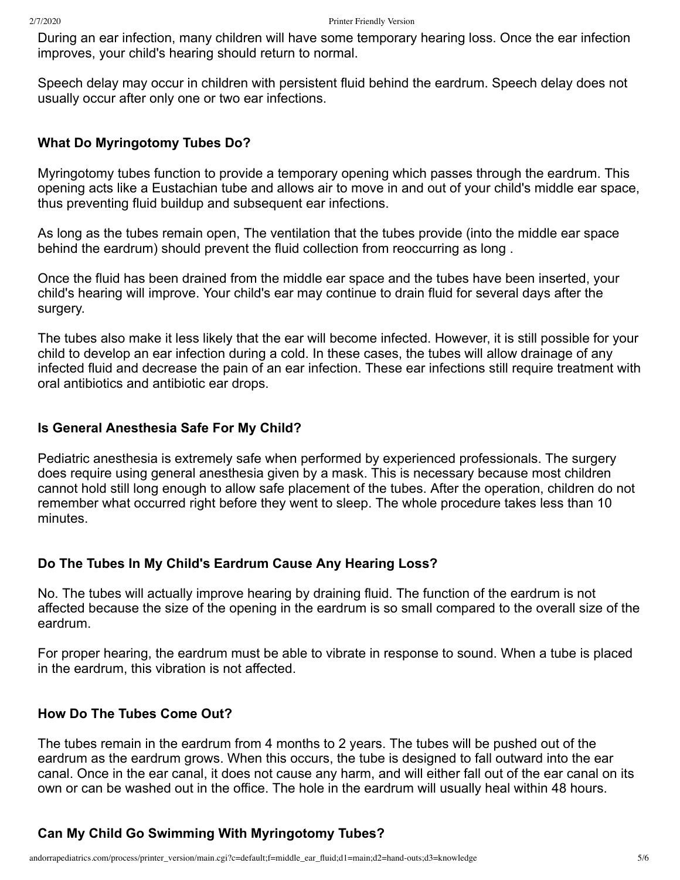During an ear infection, many children will have some temporary hearing loss. Once the ear infection improves, your child's hearing should return to normal.

Speech delay may occur in children with persistent fluid behind the eardrum. Speech delay does not usually occur after only one or two ear infections.

#### **What Do Myringotomy Tubes Do?**

Myringotomy tubes function to provide a temporary opening which passes through the eardrum. This opening acts like a Eustachian tube and allows air to move in and out of your child's middle ear space, thus preventing fluid buildup and subsequent ear infections.

As long as the tubes remain open, The ventilation that the tubes provide (into the middle ear space behind the eardrum) should prevent the fluid collection from reoccurring as long .

Once the fluid has been drained from the middle ear space and the tubes have been inserted, your child's hearing will improve. Your child's ear may continue to drain fluid for several days after the surgery.

The tubes also make it less likely that the ear will become infected. However, it is still possible for your child to develop an ear infection during a cold. In these cases, the tubes will allow drainage of any infected fluid and decrease the pain of an ear infection. These ear infections still require treatment with oral antibiotics and antibiotic ear drops.

#### **Is General Anesthesia Safe For My Child?**

Pediatric anesthesia is extremely safe when performed by experienced professionals. The surgery does require using general anesthesia given by a mask. This is necessary because most children cannot hold still long enough to allow safe placement of the tubes. After the operation, children do not remember what occurred right before they went to sleep. The whole procedure takes less than 10 minutes.

## **Do The Tubes In My Child's Eardrum Cause Any Hearing Loss?**

No. The tubes will actually improve hearing by draining fluid. The function of the eardrum is not affected because the size of the opening in the eardrum is so small compared to the overall size of the eardrum.

For proper hearing, the eardrum must be able to vibrate in response to sound. When a tube is placed in the eardrum, this vibration is not affected.

#### **How Do The Tubes Come Out?**

The tubes remain in the eardrum from 4 months to 2 years. The tubes will be pushed out of the eardrum as the eardrum grows. When this occurs, the tube is designed to fall outward into the ear canal. Once in the ear canal, it does not cause any harm, and will either fall out of the ear canal on its own or can be washed out in the office. The hole in the eardrum will usually heal within 48 hours.

## **Can My Child Go Swimming With Myringotomy Tubes?**